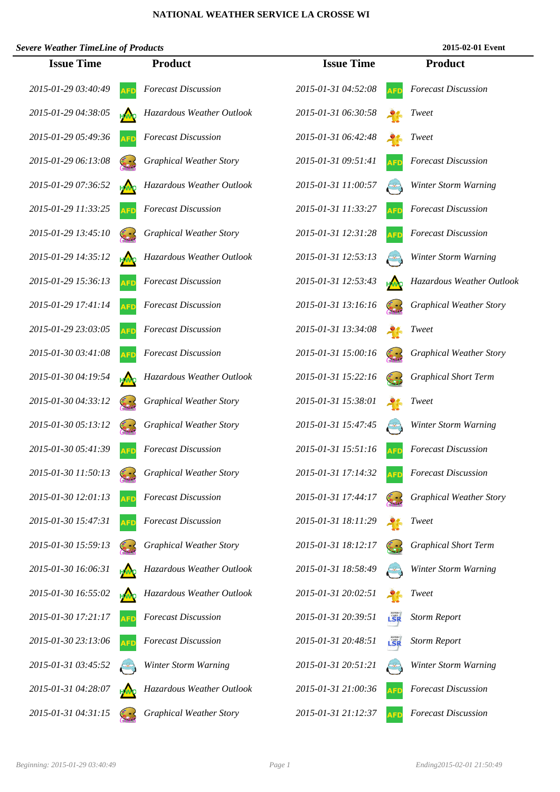## **NATIONAL WEATHER SERVICE LA CROSSE WI**

| <b>Severe Weather TimeLine of Products</b> |            |                                |                     |     | 2015-02-01 Event               |
|--------------------------------------------|------------|--------------------------------|---------------------|-----|--------------------------------|
| <b>Issue Time</b>                          |            | <b>Product</b>                 | <b>Issue Time</b>   |     | <b>Product</b>                 |
| 2015-01-29 03:40:49                        | AFD        | <b>Forecast Discussion</b>     | 2015-01-31 04:52:08 |     | <b>Forecast Discussion</b>     |
| 2015-01-29 04:38:05                        |            | Hazardous Weather Outlook      | 2015-01-31 06:30:58 |     | <b>Tweet</b>                   |
| 2015-01-29 05:49:36                        |            | <b>Forecast Discussion</b>     | 2015-01-31 06:42:48 |     | <b>Tweet</b>                   |
| 2015-01-29 06:13:08                        |            | <b>Graphical Weather Story</b> | 2015-01-31 09:51:41 |     | <b>Forecast Discussion</b>     |
| 2015-01-29 07:36:52                        |            | Hazardous Weather Outlook      | 2015-01-31 11:00:57 |     | Winter Storm Warning           |
| 2015-01-29 11:33:25                        |            | <b>Forecast Discussion</b>     | 2015-01-31 11:33:27 |     | <b>Forecast Discussion</b>     |
| 2015-01-29 13:45:10                        |            | <b>Graphical Weather Story</b> | 2015-01-31 12:31:28 |     | <b>Forecast Discussion</b>     |
| 2015-01-29 14:35:12                        | HMO        | Hazardous Weather Outlook      | 2015-01-31 12:53:13 |     | Winter Storm Warning           |
| 2015-01-29 15:36:13                        | <b>AFD</b> | <b>Forecast Discussion</b>     | 2015-01-31 12:53:43 |     | Hazardous Weather Outlook      |
| 2015-01-29 17:41:14                        | AFD        | <b>Forecast Discussion</b>     | 2015-01-31 13:16:16 |     | <b>Graphical Weather Story</b> |
| 2015-01-29 23:03:05                        |            | <b>Forecast Discussion</b>     | 2015-01-31 13:34:08 |     | <b>Tweet</b>                   |
| 2015-01-30 03:41:08                        |            | <b>Forecast Discussion</b>     | 2015-01-31 15:00:16 |     | <b>Graphical Weather Story</b> |
| 2015-01-30 04:19:54                        |            | Hazardous Weather Outlook      | 2015-01-31 15:22:16 |     | <b>Graphical Short Term</b>    |
| 2015-01-30 04:33:12                        |            | <b>Graphical Weather Story</b> | 2015-01-31 15:38:01 |     | <b>Tweet</b>                   |
| 2015-01-30 05:13:12                        |            | <b>Graphical Weather Story</b> | 2015-01-31 15:47:45 |     | Winter Storm Warning           |
| 2015-01-30 05:41:39                        |            | <b>Forecast Discussion</b>     | 2015-01-31 15:51:16 |     | <b>Forecast Discussion</b>     |
| 2015-01-30 11:50:13                        |            | <b>Graphical Weather Story</b> | 2015-01-31 17:14:32 |     | <b>Forecast Discussion</b>     |
| 2015-01-30 12:01:13                        |            | <b>Forecast Discussion</b>     | 2015-01-31 17:44:17 |     | <b>Graphical Weather Story</b> |
| 2015-01-30 15:47:31                        |            | <b>Forecast Discussion</b>     | 2015-01-31 18:11:29 |     | <b>Tweet</b>                   |
| 2015-01-30 15:59:13                        |            | <b>Graphical Weather Story</b> | 2015-01-31 18:12:17 |     | <b>Graphical Short Term</b>    |
| 2015-01-30 16:06:31                        |            | Hazardous Weather Outlook      | 2015-01-31 18:58:49 |     | Winter Storm Warning           |
| 2015-01-30 16:55:02                        |            | Hazardous Weather Outlook      | 2015-01-31 20:02:51 |     | <b>Tweet</b>                   |
| 2015-01-30 17:21:17                        |            | <b>Forecast Discussion</b>     | 2015-01-31 20:39:51 | LSR | <b>Storm Report</b>            |
| 2015-01-30 23:13:06                        |            | <b>Forecast Discussion</b>     | 2015-01-31 20:48:51 | LSR | <b>Storm Report</b>            |
| 2015-01-31 03:45:52                        |            | Winter Storm Warning           | 2015-01-31 20:51:21 |     | Winter Storm Warning           |
| 2015-01-31 04:28:07                        |            | Hazardous Weather Outlook      | 2015-01-31 21:00:36 |     | <b>Forecast Discussion</b>     |
| 2015-01-31 04:31:15                        |            | <b>Graphical Weather Story</b> | 2015-01-31 21:12:37 |     | <b>Forecast Discussion</b>     |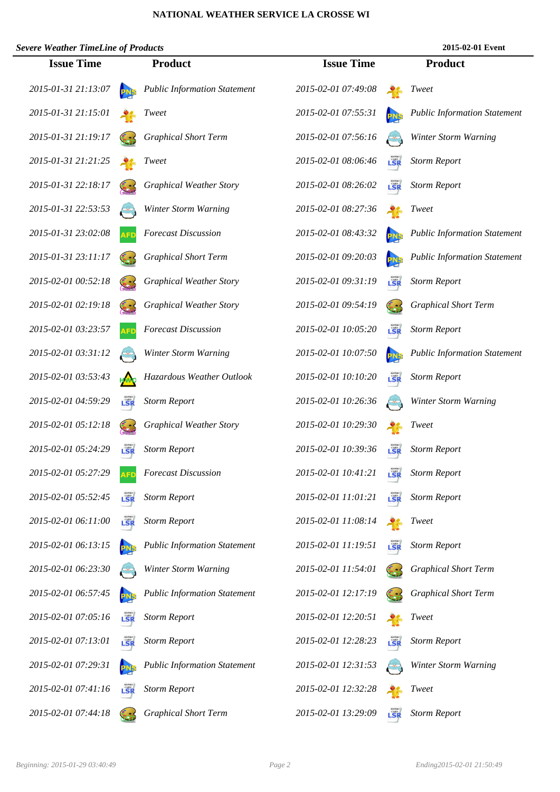## **NATIONAL WEATHER SERVICE LA CROSSE WI**

| <b>Severe Weather TimeLine of Products</b> |            |                                     |                     |     | 2015-02-01 Event                    |
|--------------------------------------------|------------|-------------------------------------|---------------------|-----|-------------------------------------|
| <b>Issue Time</b>                          |            | <b>Product</b>                      | <b>Issue Time</b>   |     | <b>Product</b>                      |
| 2015-01-31 21:13:07                        |            | <b>Public Information Statement</b> | 2015-02-01 07:49:08 |     | Tweet                               |
| 2015-01-31 21:15:01                        |            | Tweet                               | 2015-02-01 07:55:31 |     | <b>Public Information Statement</b> |
| 2015-01-31 21:19:17                        |            | <b>Graphical Short Term</b>         | 2015-02-01 07:56:16 |     | Winter Storm Warning                |
| 2015-01-31 21:21:25                        |            | Tweet                               | 2015-02-01 08:06:46 | LSR | <b>Storm Report</b>                 |
| 2015-01-31 22:18:17                        |            | <b>Graphical Weather Story</b>      | 2015-02-01 08:26:02 | LŠR | <b>Storm Report</b>                 |
| 2015-01-31 22:53:53                        |            | Winter Storm Warning                | 2015-02-01 08:27:36 |     | <b>Tweet</b>                        |
| 2015-01-31 23:02:08                        |            | <b>Forecast Discussion</b>          | 2015-02-01 08:43:32 |     | <b>Public Information Statement</b> |
| 2015-01-31 23:11:17                        |            | <b>Graphical Short Term</b>         | 2015-02-01 09:20:03 |     | <b>Public Information Statement</b> |
| 2015-02-01 00:52:18                        |            | <b>Graphical Weather Story</b>      | 2015-02-01 09:31:19 | LŠR | <b>Storm Report</b>                 |
| 2015-02-01 02:19:18                        |            | <b>Graphical Weather Story</b>      | 2015-02-01 09:54:19 |     | <b>Graphical Short Term</b>         |
| 2015-02-01 03:23:57                        |            | <b>Forecast Discussion</b>          | 2015-02-01 10:05:20 | LSR | <b>Storm Report</b>                 |
| 2015-02-01 03:31:12                        |            | Winter Storm Warning                | 2015-02-01 10:07:50 |     | <b>Public Information Statement</b> |
| 2015-02-01 03:53:43                        |            | Hazardous Weather Outlook           | 2015-02-01 10:10:20 | LSR | <b>Storm Report</b>                 |
| 2015-02-01 04:59:29                        | LSR        | <b>Storm Report</b>                 | 2015-02-01 10:26:36 |     | Winter Storm Warning                |
| 2015-02-01 05:12:18                        |            | <b>Graphical Weather Story</b>      | 2015-02-01 10:29:30 |     | <i>Tweet</i>                        |
| 2015-02-01 05:24:29                        | LSR        | <b>Storm Report</b>                 | 2015-02-01 10:39:36 | LSR | <b>Storm Report</b>                 |
| 2015-02-01 05:27:29                        | <b>AFD</b> | <b>Forecast Discussion</b>          | 2015-02-01 10:41:21 | LSR | <b>Storm Report</b>                 |
| 2015-02-01 05:52:45                        | LSR        | <b>Storm Report</b>                 | 2015-02-01 11:01:21 | LŜR | <b>Storm Report</b>                 |
| 2015-02-01 06:11:00                        | LSR        | <b>Storm Report</b>                 | 2015-02-01 11:08:14 |     | Tweet                               |
| 2015-02-01 06:13:15                        |            | <b>Public Information Statement</b> | 2015-02-01 11:19:51 |     | <b>Storm Report</b>                 |
| 2015-02-01 06:23:30                        |            | Winter Storm Warning                | 2015-02-01 11:54:01 |     | <b>Graphical Short Term</b>         |
| 2015-02-01 06:57:45                        |            | <b>Public Information Statement</b> | 2015-02-01 12:17:19 |     | <b>Graphical Short Term</b>         |
| 2015-02-01 07:05:16                        | LSR        | <b>Storm Report</b>                 | 2015-02-01 12:20:51 |     | <i>Tweet</i>                        |
| 2015-02-01 07:13:01                        | LŠR        | <b>Storm Report</b>                 | 2015-02-01 12:28:23 | LSR | <b>Storm Report</b>                 |
| 2015-02-01 07:29:31                        | <b>PNS</b> | <b>Public Information Statement</b> | 2015-02-01 12:31:53 |     | Winter Storm Warning                |
| 2015-02-01 07:41:16                        | LSR        | <b>Storm Report</b>                 | 2015-02-01 12:32:28 |     | Tweet                               |
| 2015-02-01 07:44:18                        | 63         | <b>Graphical Short Term</b>         | 2015-02-01 13:29:09 |     | <b>Storm Report</b>                 |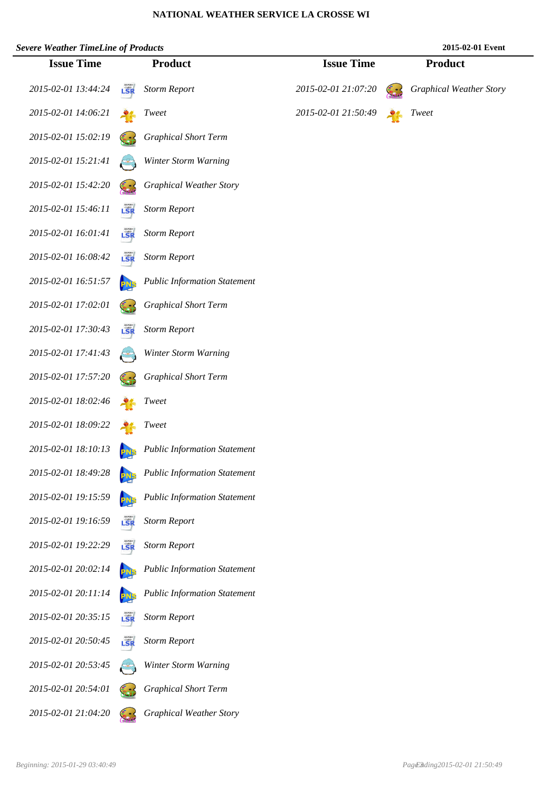## **NATIONAL WEATHER SERVICE LA CROSSE WI**

| <b>Severe Weather TimeLine of Products</b> |     |                                     |                     | 2015-02-01 Event               |
|--------------------------------------------|-----|-------------------------------------|---------------------|--------------------------------|
| <b>Issue Time</b>                          |     | <b>Product</b>                      | <b>Issue Time</b>   | <b>Product</b>                 |
| 2015-02-01 13:44:24                        | LSR | <b>Storm Report</b>                 | 2015-02-01 21:07:20 | <b>Graphical Weather Story</b> |
| 2015-02-01 14:06:21                        |     | <i>Tweet</i>                        | 2015-02-01 21:50:49 | <i>Tweet</i>                   |
| 2015-02-01 15:02:19                        |     | <b>Graphical Short Term</b>         |                     |                                |
| 2015-02-01 15:21:41                        |     | Winter Storm Warning                |                     |                                |
| 2015-02-01 15:42:20                        |     | <b>Graphical Weather Story</b>      |                     |                                |
| 2015-02-01 15:46:11                        | LSR | <b>Storm Report</b>                 |                     |                                |
| 2015-02-01 16:01:41                        | LSR | <b>Storm Report</b>                 |                     |                                |
| 2015-02-01 16:08:42                        | LSR | <b>Storm Report</b>                 |                     |                                |
| 2015-02-01 16:51:57                        |     | <b>Public Information Statement</b> |                     |                                |
| 2015-02-01 17:02:01                        |     | <b>Graphical Short Term</b>         |                     |                                |
| 2015-02-01 17:30:43                        | LSR | <b>Storm Report</b>                 |                     |                                |
| 2015-02-01 17:41:43                        |     | Winter Storm Warning                |                     |                                |
| 2015-02-01 17:57:20                        |     | <b>Graphical Short Term</b>         |                     |                                |
| 2015-02-01 18:02:46                        |     | Tweet                               |                     |                                |
| 2015-02-01 18:09:22                        |     | <i>Tweet</i>                        |                     |                                |
| 2015-02-01 18:10:13                        |     | <b>Public Information Statement</b> |                     |                                |
| 2015-02-01 18:49:28                        |     | <b>Public Information Statement</b> |                     |                                |
| 2015-02-01 19:15:59                        |     | <b>Public Information Statement</b> |                     |                                |
| 2015-02-01 19:16:59                        | LSR | <b>Storm Report</b>                 |                     |                                |
| 2015-02-01 19:22:29                        | LSR | <b>Storm Report</b>                 |                     |                                |
| 2015-02-01 20:02:14                        |     | <b>Public Information Statement</b> |                     |                                |
| 2015-02-01 20:11:14                        |     | <b>Public Information Statement</b> |                     |                                |
| 2015-02-01 20:35:15                        | LSR | <b>Storm Report</b>                 |                     |                                |
| 2015-02-01 20:50:45                        | LSR | <b>Storm Report</b>                 |                     |                                |
| 2015-02-01 20:53:45                        |     | Winter Storm Warning                |                     |                                |
| 2015-02-01 20:54:01                        |     | <b>Graphical Short Term</b>         |                     |                                |
| 2015-02-01 21:04:20                        |     | <b>Graphical Weather Story</b>      |                     |                                |